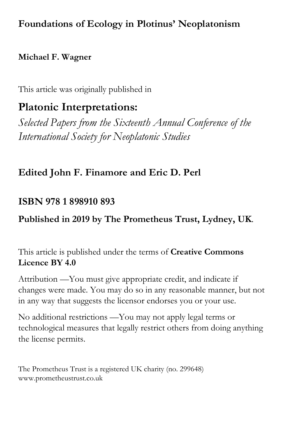## **Foundations of Ecology in Plotinus' Neoplatonism**

#### **Michael F. Wagner**

This article was originally published in

# **Platonic Interpretations:**

*Selected Papers from the Sixteenth Annual Conference of the International Society for Neoplatonic Studies*

## **Edited John F. Finamore and Eric D. Perl**

### **ISBN 978 1 898910 893**

## **Published in 2019 by The Prometheus Trust, Lydney, UK**.

This article is published under the terms of **Creative Commons Licence BY 4.0**

Attribution —You must give appropriate credit, and indicate if changes were made. You may do so in any reasonable manner, but not in any way that suggests the licensor endorses you or your use.

No additional restrictions —You may not apply legal terms or technological measures that legally restrict others from doing anything the license permits.

The Prometheus Trust is a registered UK charity (no. 299648) www.prometheustrust.co.uk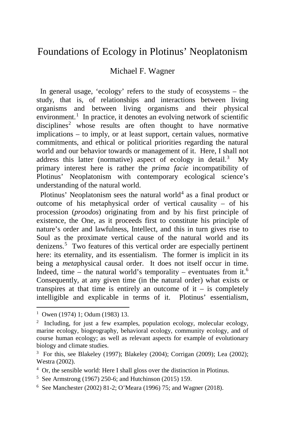#### Foundations of Ecology in Plotinus' Neoplatonism

#### Michael F. Wagner

 In general usage, 'ecology' refers to the study of ecosystems – the study, that is, of relationships and interactions between living organisms and between living organisms and their physical environment.<sup>[1](#page-1-0)</sup> In practice, it denotes an evolving network of scientific  $disciplines<sup>2</sup>$  $disciplines<sup>2</sup>$  $disciplines<sup>2</sup>$  whose results are often thought to have normative implications – to imply, or at least support, certain values, normative commitments, and ethical or political priorities regarding the natural world and our behavior towards or management of it. Here, I shall not address this latter (normative) aspect of ecology in detail.<sup>[3](#page-1-2)</sup> My primary interest here is rather the *prima facie* incompatibility of Plotinus' Neoplatonism with contemporary ecological science's understanding of the natural world.

Plotinus' Neoplatonism sees the natural world<sup>[4](#page-1-3)</sup> as a final product or outcome of his metaphysical order of vertical causality – of his procession (*proodos*) originating from and by his first principle of existence, the One, as it proceeds first to constitute his principle of nature's order and lawfulness, Intellect, and this in turn gives rise to Soul as the proximate vertical cause of the natural world and its denizens.<sup>[5](#page-1-4)</sup> Two features of this vertical order are especially pertinent here: its eternality, and its essentialism. The former is implicit in its being a *meta*physical causal order. It does not itself occur in time. Indeed, time – the natural world's temporality – eventuates from it.<sup>[6](#page-1-5)</sup> Consequently, at any given time (in the natural order) what exists or transpires at that time is entirely an outcome of  $it - is$  completely intelligible and explicable in terms of it. Plotinus' essentialism,

<span id="page-1-0"></span><sup>|&</sup>lt;br>|<br>| <sup>1</sup> Owen (1974) 1; Odum (1983) 13.

<span id="page-1-1"></span><sup>2</sup> Including, for just a few examples, population ecology, molecular ecology, marine ecology, biogeography, behavioral ecology, community ecology, and of course human ecology; as well as relevant aspects for example of evolutionary biology and climate studies.

<span id="page-1-2"></span><sup>&</sup>lt;sup>3</sup> For this, see Blakeley (1997); Blakeley (2004); Corrigan (2009); Lea (2002); Westra (2002).

<span id="page-1-3"></span><sup>&</sup>lt;sup>4</sup> Or, the sensible world: Here I shall gloss over the distinction in Plotinus.

<span id="page-1-4"></span><sup>5</sup> See Armstrong (1967) 250-6; and Hutchinson (2015) 159.

<span id="page-1-5"></span><sup>6</sup> See Manchester (2002) 81-2; O'Meara (1996) 75; and Wagner (2018).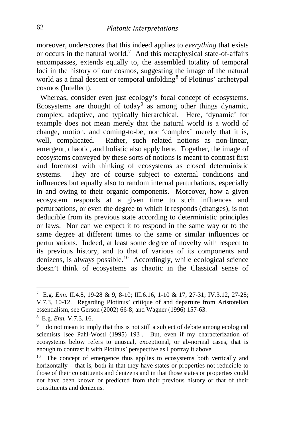moreover, underscores that this indeed applies to *everything* that exists or occurs in the natural world.<sup>[7](#page-2-0)</sup> And this metaphysical state-of-affairs encompasses, extends equally to, the assembled totality of temporal loci in the history of our cosmos, suggesting the image of the natural world as a final descent or temporal unfolding<sup>[8](#page-2-1)</sup> of Plotinus' archetypal cosmos (Intellect).

 Whereas, consider even just ecology's focal concept of ecosystems. Ecosystems are thought of today<sup>[9](#page-2-2)</sup> as among other things dynamic, complex, adaptive, and typically hierarchical. Here, 'dynamic' for example does not mean merely that the natural world is a world of change, motion, and coming-to-be, nor 'complex' merely that it is, well, complicated. Rather, such related notions as non-linear, emergent, chaotic, and holistic also apply here. Together, the image of ecosystems conveyed by these sorts of notions is meant to contrast first and foremost with thinking of ecosystems as closed deterministic systems. They are of course subject to external conditions and influences but equally also to random internal perturbations, especially in and owing to their organic components. Moreover, how a given ecosystem responds at a given time to such influences and perturbations, or even the degree to which it responds (changes), is not deducible from its previous state according to deterministic principles or laws. Nor can we expect it to respond in the same way or to the same degree at different times to the same or similar influences or perturbations. Indeed, at least some degree of novelty with respect to its previous history, and to that of various of its components and denizens, is always possible.<sup>10</sup> Accordingly, while ecological science doesn't think of ecosystems as chaotic in the Classical sense of

<span id="page-2-0"></span><sup>-&</sup>lt;br>7 E.g. *Enn.* II.4.8, 19-28 & 9, 8-10; III.6.16, 1-10 & 17, 27-31; IV.3.12, 27-28; V.7.3, 10-12. Regarding Plotinus' critique of and departure from Aristotelian essentialism, see Gerson (2002) 66-8; and Wagner (1996) 157-63.

<span id="page-2-1"></span><sup>8</sup> E.g. *Enn.* V.7.3, 16.

<span id="page-2-2"></span><sup>&</sup>lt;sup>9</sup> I do not mean to imply that this is not still a subject of debate among ecological scientists [see Pahl-Wostl (1995) 193]. But, even if my characterization of ecosystems below refers to unusual, exceptional, or ab-normal cases, that is enough to contrast it with Plotinus' perspective as I portray it above.

<span id="page-2-3"></span><sup>&</sup>lt;sup>10</sup> The concept of emergence thus applies to ecosystems both vertically and horizontally – that is, both in that they have states or properties not reducible to those of their constituents and denizens and in that those states or properties could not have been known or predicted from their previous history or that of their constituents and denizens.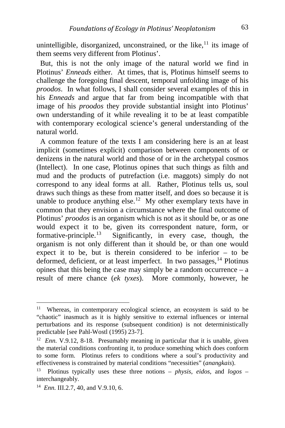unintelligible, disorganized, unconstrained, or the like,  $\frac{11}{11}$  $\frac{11}{11}$  $\frac{11}{11}$  its image of them seems very different from Plotinus'.

 But, this is not the only image of the natural world we find in Plotinus' *Enneads* either. At times, that is, Plotinus himself seems to challenge the foregoing final descent, temporal unfolding image of his *proodos*. In what follows, I shall consider several examples of this in his *Enneads* and argue that far from being incompatible with that image of his *proodos* they provide substantial insight into Plotinus' own understanding of it while revealing it to be at least compatible with contemporary ecological science's general understanding of the natural world.

 A common feature of the texts I am considering here is an at least implicit (sometimes explicit) comparison between components of or denizens in the natural world and those of or in the archetypal cosmos (Intellect). In one case, Plotinus opines that such things as filth and mud and the products of putrefaction (i.e. maggots) simply do not correspond to any ideal forms at all. Rather, Plotinus tells us, soul draws such things as these from matter itself, and does so because it is unable to produce anything else.<sup>12</sup> My other exemplary texts have in common that they envision a circumstance where the final outcome of Plotinus' *proodos* is an organism which is not as it should be, or as one would expect it to be, given its correspondent nature, form, or formative-principle.<sup>[13](#page-3-2)</sup> Significantly, in every case, though, the organism is not only different than it should be, or than one would expect it to be, but is therein considered to be inferior – to be deformed, deficient, or at least imperfect. In two passages,  $^{14}$  $^{14}$  $^{14}$  Plotinus opines that this being the case may simply be a random occurrence  $-$  a result of mere chance (*ek tyxes*). More commonly, however, he

<span id="page-3-0"></span><sup>&</sup>lt;sup>11</sup> Whereas, in contemporary ecological science, an ecosystem is said to be "chaotic" inasmuch as it is highly sensitive to external influences or internal perturbations and its response (subsequent condition) is not deterministically predictable [see Pahl-Wostl (1995) 23-7].

<span id="page-3-1"></span><sup>&</sup>lt;sup>12</sup> *Enn.* V.9.12, 8-18. Presumably meaning in particular that it is unable, given the material conditions confronting it, to produce something which does conform to some form. Plotinus refers to conditions where a soul's productivity and effectiveness is constrained by material conditions "necessities" (*anangkais*).

<span id="page-3-2"></span><sup>13</sup> Plotinus typically uses these three notions – *physis*, *eidos*, and *logos* – interchangeably.

<span id="page-3-3"></span><sup>14</sup> *Enn.* III.2.7, 40, and V.9.10, 6.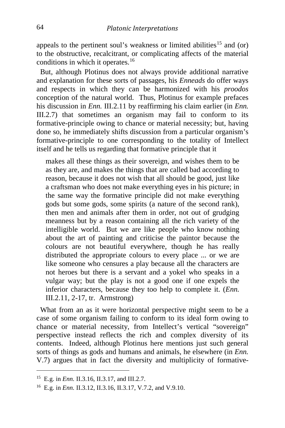appeals to the pertinent soul's weakness or limited abilities<sup>[15](#page-4-0)</sup> and (or) to the obstructive, recalcitrant, or complicating affects of the material conditions in which it operates.<sup>[16](#page-4-1)</sup>

 But, although Plotinus does not always provide additional narrative and explanation for these sorts of passages, his *Enneads* do offer ways and respects in which they can be harmonized with his *proodos* conception of the natural world. Thus, Plotinus for example prefaces his discussion in *Enn.* III.2.11 by reaffirming his claim earlier (in *Enn.* III.2.7) that sometimes an organism may fail to conform to its formative-principle owing to chance or material necessity; but, having done so, he immediately shifts discussion from a particular organism's formative-principle to one corresponding to the totality of Intellect itself and he tells us regarding that formative principle that it

makes all these things as their sovereign, and wishes them to be as they are, and makes the things that are called bad according to reason, because it does not wish that all should be good, just like a craftsman who does not make everything eyes in his picture; in the same way the formative principle did not make everything gods but some gods, some spirits (a nature of the second rank), then men and animals after them in order, not out of grudging meanness but by a reason containing all the rich variety of the intelligible world. But we are like people who know nothing about the art of painting and criticise the paintor because the colours are not beautiful everywhere, though he has really distributed the appropriate colours to every place ... or we are like someone who censures a play because all the characters are not heroes but there is a servant and a yokel who speaks in a vulgar way; but the play is not a good one if one expels the inferior characters, because they too help to complete it. (*Enn.* III.2.11, 2-17, tr. Armstrong)

 What from an as it were horizontal perspective might seem to be a case of some organism failing to conform to its ideal form owing to chance or material necessity, from Intellect's vertical "sovereign" perspective instead reflects the rich and complex diversity of its contents. Indeed, although Plotinus here mentions just such general sorts of things as gods and humans and animals, he elsewhere (in *Enn.* V.7) argues that in fact the diversity and multiplicity of formative-

<span id="page-4-0"></span>15 E.g. in *Enn.* II.3.16, II.3.17, and III.2.7.

<span id="page-4-1"></span><sup>16</sup> E.g. in *Enn.* II.3.12, II.3.16, II.3.17, V.7.2, and V.9.10.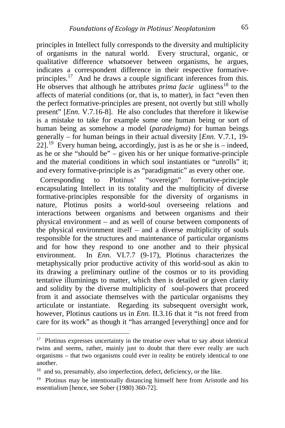principles in Intellect fully corresponds to the diversity and multiplicity of organisms in the natural world. Every structural, organic, or qualitative difference whatsoever between organisms, he argues, indicates a correspondent difference in their respective formative-principles.<sup>[17](#page-5-0)</sup> And he draws a couple significant inferences from this. He observes that although he attributes *prima facie* ugliness<sup>[18](#page-5-1)</sup> to the affects of material conditions (or, that is, to matter), in fact "even then the perfect formative-principles are present, not overtly but still wholly present" [*Enn.* V.7.16-8]. He also concludes that therefore it likewise is a mistake to take for example some one human being or sort of human being as somehow a model (*paradeigma*) for human beings generally – for human beings in their actual diversity [*Enn.* V.7.1, 19-  $22$ <sup>[19](#page-5-2)</sup> Every human being, accordingly, just is as he or she is – indeed, as he or she "should be" – given his or her unique formative-principle and the material conditions in which soul instantiates or "unrolls" it; and every formative-principle is as "paradigmatic" as every other one.

 Corresponding to Plotinus' "sovereign" formative-principle encapsulating Intellect in its totality and the multiplicity of diverse formative-principles responsible for the diversity of organisms in nature, Plotinus posits a world-soul overseeing relations and interactions between organisms and between organisms and their physical environment – and as well of course between components of the physical environment itself – and a diverse multiplicity of souls responsible for the structures and maintenance of particular organisms and for how they respond to one another and to their physical environment. In *Enn.* VI.7.7 (9-17), Plotinus characterizes the metaphysically prior productive activity of this world-soul as akin to its drawing a preliminary outline of the cosmos or to its providing tentative illuminings to matter, which then is detailed or given clarity and solidity by the diverse multiplicity of soul-powers that proceed from it and associate themselves with the particular organisms they articulate or instantiate. Regarding its subsequent oversight work, however, Plotinus cautions us in *Enn.* II.3.16 that it "is not freed from care for its work" as though it "has arranged [everything] once and for

<span id="page-5-0"></span><sup>&</sup>lt;sup>17</sup> Plotinus expresses uncertainty in the treatise over what to say about identical twins and seems, rather, mainly just to doubt that there ever really are such organisms – that two organisms could ever in reality be entirely identical to one another.

<span id="page-5-1"></span>and so, presumably, also imperfection, defect, deficiency, or the like.

<span id="page-5-2"></span><sup>19</sup> Plotinus may be intentionally distancing himself here from Aristotle and his essentialism [hence, see Sober (1980) 360-72].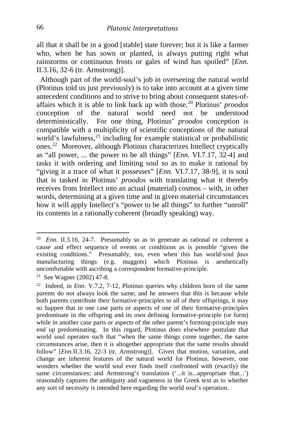all that it shall be in a good [stable] state forever; but it is like a farmer who, when he has sown or planted, is always putting right what rainstorms or continuous frosts or gales of wind has spoiled" [*Enn.* II.3.16, 32-6 (tr. Armstrong)].

 Although part of the world-soul's job in overseeing the natural world (Plotinus told us just previously) is to take into account at a given time antecedent conditions and to strive to bring about consequent states-ofaffairs which it is able to link back up with those,[20](#page-6-0) Plotinus' *proodos* conception of the natural world need not be understood deterministically. For one thing, Plotinus' *proodos* conception is compatible with a multiplicity of scientific conceptions of the natural world's lawfulness,<sup>[21](#page-6-1)</sup> including for example statistical or probabilistic ones.[22](#page-6-2) Moreover, although Plotinus characterizes Intellect cryptically as "all power, ... the power to be all things" [*Enn.* VI.7.17, 32-4] and tasks it with ordering and limiting soul so as to make it rational by "giving it a trace of what it possesses" [*Enn.* VI.7.17, 38-9], it is soul that is tasked in Plotinus' *proodos* with translating what it thereby receives from Intellect into an actual (material) cosmos – with, in other words, determining at a given time and in given material circumstances how it will apply Intellect's "power to be all things" to further "unroll" its contents in a rationally coherent (broadly speaking) way.

<span id="page-6-0"></span><sup>20</sup>*Enn.* II.3.16, 24-7. Presumably so as to generate as rational or coherent a cause and effect sequence of events or conditions as is possible "given the existing conditions." Presumably, too, even when this has world-soul *faux* manufacturing things (e.g. maggots) which Plotinus is aesthetically uncomfortable with ascribing a correspondent formative-principle.

<span id="page-6-1"></span><sup>21</sup> See Wagner (2002) 47-8.

<span id="page-6-2"></span><sup>22</sup> Indeed, in *Enn.* V.7.2, 7-12, Plotinus queries why children born of the same parents do not always look the same; and he answers that this is because while both parents contribute their formative-principles to all of their offsprings, it may so happen that in one case parts or aspects of one of their formative-principles predominate in the offspring and its own defining formative-principle (or form) while in another case parts or aspects of the other parent's forming-principle may end up predominating. In this regard, Plotinus does elsewhere postulate that world soul operates such that "when the same things come together, the same circumstances arise, then it is altogether appropriate that the same results should follow" [*Enn.II.3.16, 22-3* (tr. Armstrong)]. Given that motion, variation, and change are inherent features of the natural world for Plotinus, however, one wonders whether the world soul ever finds itself confronted with (exactly) the same circumstances; and Armstrong's translation ('...it is...appropriate that...') reasonably captures the ambiguity and vagueness in the Greek text as to whether any sort of necessity is intended here regarding the world soul's operation.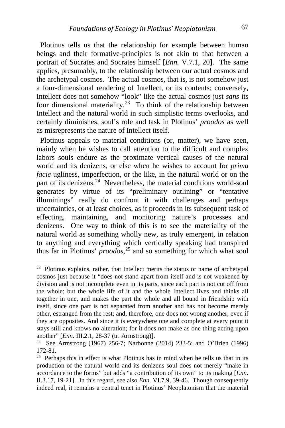Plotinus tells us that the relationship for example between human beings and their formative-principles is not akin to that between a portrait of Socrates and Socrates himself [*Enn.* V.7.1, 20]. The same applies, presumably, to the relationship between our actual cosmos and the archetypal cosmos. The actual cosmos, that is, is not somehow just a four-dimensional rendering of Intellect, or its contents; conversely, Intellect does not somehow "look" like the actual cosmos just *sans* its four dimensional materiality.<sup>23</sup> To think of the relationship between Intellect and the natural world in such simplistic terms overlooks, and certainly diminishes, soul's role and task in Plotinus' *proodos* as well as misrepresents the nature of Intellect itself.

 Plotinus appeals to material conditions (or, matter), we have seen, mainly when he wishes to call attention to the difficult and complex labors souls endure as the proximate vertical causes of the natural world and its denizens, or else when he wishes to account for *prima facie* ugliness, imperfection, or the like, in the natural world or on the part of its denizens. $^{24}$  Nevertheless, the material conditions world-soul generates by virtue of its "preliminary outlining" or "tentative illuminings" really do confront it with challenges and perhaps uncertainties, or at least choices, as it proceeds in its subsequent task of effecting, maintaining, and monitoring nature's processes and denizens. One way to think of this is to see the materiality of the natural world as something wholly new, as truly emergent, in relation to anything and everything which vertically speaking had transpired thus far in Plotinus' *proodos*, [25](#page-7-2) and so something for which what soul

<span id="page-7-0"></span><sup>&</sup>lt;sup>23</sup> Plotinus explains, rather, that Intellect merits the status or name of archetypal cosmos just because it "does not stand apart from itself and is not weakened by division and is not incomplete even in its parts, since each part is not cut off from the whole; but the whole life of it and the whole Intellect lives and thinks all together in one, and makes the part the whole and all bound in friendship with itself, since one part is not separated from another and has not become merely other, estranged from the rest; and, therefore, one does not wrong another, even if they are opposites. And since it is everywhere one and complete at every point it stays still and knows no alteration; for it does not make as one thing acting upon another" [*Enn.* III.2.1, 28-37 (tr. Armstrong)].

<span id="page-7-1"></span><sup>24</sup> See Armstrong (1967) 256-7; Narbonne (2014) 233-5; and O'Brien (1996) 172-81.

<span id="page-7-2"></span> $25$  Perhaps this in effect is what Plotinus has in mind when he tells us that in its production of the natural world and its denizens soul does not merely "make in accordance to the forms" but adds "a contribution of its own" to its making [*Enn.* II.3.17, 19-21]. In this regard, see also *Enn.* VI.7.9, 39-46. Though consequently indeed real, it remains a central tenet in Plotinus' Neoplatonism that the material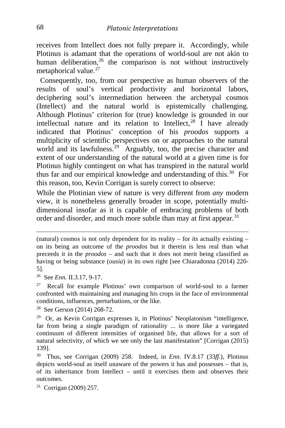receives from Intellect does not fully prepare it. Accordingly, while Plotinus is adamant that the operations of world-soul are not akin to human deliberation,<sup>[26](#page-8-0)</sup> the comparison is not without instructively metaphorical value. $27$ 

 Consequently, too, from our perspective as human observers of the results of soul's vertical productivity and horizontal labors, deciphering soul's intermediation between the archetypal cosmos (Intellect) and the natural world is epistemically challenging. Although Plotinus' criterion for (true) knowledge is grounded in our intellectual nature and its relation to Intellect, $^{28}$  $^{28}$  $^{28}$  I have already indicated that Plotinus' conception of his *proodos* supports a multiplicity of scientific perspectives on or approaches to the natural world and its lawfulness.<sup>29</sup> Arguably, too, the precise character and extent of our understanding of the natural world at a given time is for Plotinus highly contingent on what has transpired in the natural world thus far and our empirical knowledge and understanding of this.[30](#page-8-4) For this reason, too, Kevin Corrigan is surely correct to observe:

While the Plotinian view of nature is very different from *any* modern view, it is nonetheless generally broader in scope, potentially multidimensional insofar as it is capable of embracing problems of both order and disorder, and much more subtle than may at first appear.<sup>[31](#page-8-5)</sup>

<span id="page-8-5"></span>31 Corrigan (2009) 257.

(natural) cosmos is not only dependent for its reality – for its actually existing – on its being an outcome of the *proodos* but it therein is less real than what preceeds it in the *proodos* – and such that it does not merit being classified as having or being substance (*ousia*) in its own right [see Chiaradonna (2014) 220- 5].

<span id="page-8-0"></span><sup>26</sup> See *Enn.* II.3.17, 9-17.

<span id="page-8-1"></span><sup>27</sup> Recall for example Plotinus' own comparison of world-soul to a farmer confronted with maintaining and managing his crops in the face of environmental conditions, influences, perturbations, or the like.

<span id="page-8-2"></span><sup>28</sup> See Gerson (2014) 268-72.

<span id="page-8-3"></span><sup>29</sup> Or, as Kevin Corrigan expresses it, in Plotinus' Neoplatonism "intelligence, far from being a single paradigm of rationality ... is more like a variegated continuum of different intensities of organised life, that allows for a sort of natural selectivity, of which we see only the last manifestation" [Corrigan (2015) 139].

<span id="page-8-4"></span><sup>30</sup> Thus, see Corrigan (2009) 258. Indeed, in *Enn.* IV.8.17 (33*ff.*), Plotinus depicts world-soul as itself unaware of the powers it has and possesses – that is, of its inheritance from Intellect – until it exercises them and observes their outcomes.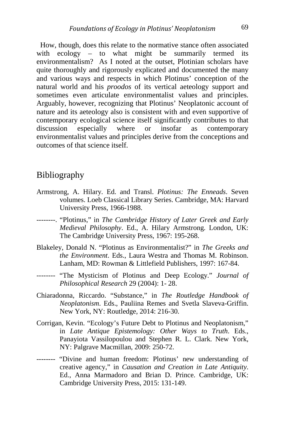How, though, does this relate to the normative stance often associated with ecology – to what might be summarily termed its environmentalism? As I noted at the outset, Plotinian scholars have quite thoroughly and rigorously explicated and documented the many and various ways and respects in which Plotinus' conception of the natural world and his *proodos* of its vertical aeteology support and sometimes even articulate environmentalist values and principles. Arguably, however, recognizing that Plotinus' Neoplatonic account of nature and its aeteology also is consistent with and even supportive of contemporary ecological science itself significantly contributes to that discussion especially where or insofar as contemporary environmentalist values and principles derive from the conceptions and outcomes of that science itself.

#### Bibliography

- Armstrong, A. Hilary. Ed. and Transl. *Plotinus: The Enneads*. Seven volumes. Loeb Classical Library Series. Cambridge, MA: Harvard University Press, 1966-1988.
- --------. "Plotinus," in *The Cambridge History of Later Greek and Early Medieval Philosophy*. Ed., A. Hilary Armstrong. London, UK: The Cambridge University Press, 1967: 195-268.
- Blakeley, Donald N. "Plotinus as Environmentalist?" in *The Greeks and the Environment*. Eds., Laura Westra and Thomas M. Robinson. Lanham, MD: Rowman & Littlefield Publishers, 1997: 167-84.
- -------- "The Mysticism of Plotinus and Deep Ecology." *Journal of Philosophical Research* 29 (2004): 1- 28.
- Chiaradonna, Riccardo. "Substance," in *The Routledge Handbook of Neoplatonism*. Eds., Pauliina Remes and Svetla Slaveva-Griffin. New York, NY: Routledge, 2014: 216-30.
- Corrigan, Kevin. "Ecology's Future Debt to Plotinus and Neoplatonism," in *Late Antique Epistemology: Other Ways to Truth*. Eds., Panayiota Vassilopoulou and Stephen R. L. Clark. New York, NY: Palgrave Macmillan, 2009: 250-72.
- -------- "Divine and human freedom: Plotinus' new understanding of creative agency," in *Causation and Creation in Late Antiquity*. Ed., Anna Marmadoro and Brian D. Prince. Cambridge, UK: Cambridge University Press, 2015: 131-149.